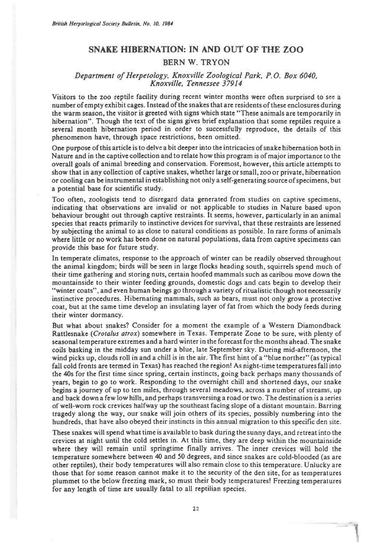## **SNAKE HIBERNATION: IN AND OUT OF THE ZOO**

## **BERN W. TRYON**

## *Department of Herpetology, Knoxville Zoological Park, P.O. Box 6040, Knoxville, Tennessee 37914*

Visitors to the zoo reptile facility during recent winter months were often surprised to see a number of empty exhibit cages. Instead of the snakes that are residents of these enclosures during the warm season, the visitor is greeted with signs which state "These animals are temporarily in hibernation". Though the text of the signs gives brief explanation that some reptiles require a several month hibernation period in order to successfully reproduce, the details of this phenomenon have, through space restrictions, been omitted.

One purpose of this article is to delve a bit deeper into the intricacies of snake hibernation both in Nature and in the captive collection and to relate how this program is of major importance to the overall goals of animal breeding and conservation. Foremost, however, this article attempts to show that in any collection of captive snakes, whether large or small, zoo or private, hibernation or cooling can be instrumental in establishing not only a self-generating source of specimens, but a potential base for scientific study.

Too often, zoologists tend to disregard data generated from studies on captive specimens, indicating that observations are invalid or not applicable to studies in Nature based upon behaviour brought out through captive restraints. It seems, however, particularly in an animal species that reacts primarily to instinctive devices for survival, that these restraints are lessened by subjecting the animal to as close to natural conditions as possible. In rare forms of animals where little or no work has been done on natural populations, data from captive specimens can provide this base for future study.

In temperate climates, response to the approach of winter can be readily observed throughout the animal kingdom; birds will be seen in large flocks heading south, squirrels spend much of their time gathering and storing nuts, certain hoofed mammals such as caribou move down the mountainside to their winter feeding grounds, domestic dogs and cats begin to develop their "winter coats", and even human beings go through a variety of ritualistic though not necessarily instinctive procedures. Hibernating mammals, such as bears, must not only grow a protective coat, but at the same time develop an insulating layer of fat from which the body feeds during their winter dormancy.

But what about snakes? Consider for a moment the example of a Western Diamondback Rattlesnake *(Crotalus atrox)* somewhere in Texas. Temperate Zone to be sure, with plenty of seasonal temperature extremes and a hard winter in the forecast for the months ahead. The snake coils basking in the midday sun under a blue, late September sky. During mid-afternoon, the wind picks up, clouds roll in and a chill is in the air. The first hint of a "blue norther" (as typical fall cold fronts are termed in Texas) has reached the region! As night-time temperatures fall into the 40s for the first time since spring, certain instincts, going back perhaps many thousands of years, begin to go to work. Responding to the overnight chill and shortened days, our snake begins a journey of up to ten miles, through several meadows, across a number of streams, up and back down a few low hills, and perhaps transversing a road or two. The destination is a series of well-worn rock crevices halfway up the southeast facing slope of a distant mountain. Barring tragedy along the way, our snake will join others of its species, possibly numbering into the hundreds, that have also obeyed their instincts in this annual migration to this specific den site.

These snakes will spend what time is available to bask during the sunny days, and retreat into the crevices at night until the cold settles in. At this time, they are deep within the mountainside where they will remain until springtime finally arrives. The inner crevices will hold the temperature somewhere between 40 and 50 degrees, and since snakes are cold-blooded (as are other reptiles), their body temperatures will also remain close to this temperature. Unlucky are those that for some reason cannot make it to the security of the den site, for as temperatures plummet to the below freezing mark, so must their body temperatures! Freezing temperatures for any length of time are usually fatal to all reptilian species.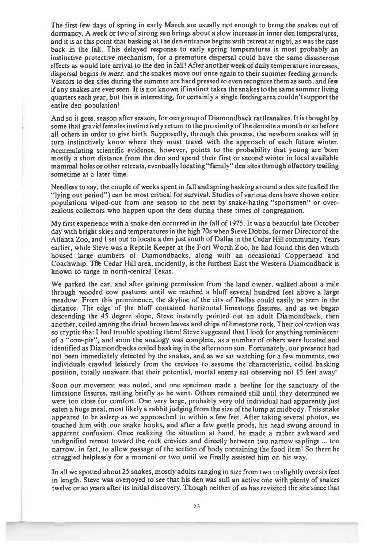**The first few days of spring in early March are usually not enough to bring the snakes out of dormancy. A week or two of strong sun brings about a slow increase in inner den temperatures, and it is at this point that basking at the den entrance begins with retreat at night, as was the case back in the fall. This delayed response to early spring temperatures is most probably an instinctive protective mechanism, for a premature dispersal could have the same disasterous effects as would late arrival to the den in fall! After another week of daily temperature increases, dispersal begins** *in mass,* **and the snakes move out once again to their summer feeding grounds. Visitors to den sites during the summer are hard pressed to even recognize them as such, and few if any snakes are ever seen. It is not known if instinct takes the snakes to the same summer living quarters each year, but this is interesting, for certainly a single feeding area couldn't support the entire den population!** 

**And so it goes, season after season, for our group of Diamondback rattlesnakes. It is thought by some that gravid females instinctively return to the proximity of the den site a month or so before all others in order to give birth. Supposedly, through this process, the newborn snakes will in turn instinctively know where they must travel with the approach of each future winter. Accumulating scientific evidence, however, points to the probability that young are born mostly a short distance from the den and spend their first or second winter in local available mammal holes or other retreats, eventually locating "family" den sites through olfactory trailing sometime at a later time.** 

**Needless to say, the couple of weeks spent in fall and spring basking around a den site (called the "lying out period") can be most critical for survival. Studies of various dens have shown entire populations wiped-out from one season to the next by snake-hating "sportsmen" or overzealous collectors who happen upon the dens during these times of congregation.** 

**My first experience with a snake den occurred in the fall of 1975. It was a beautiful late October day with bright skies and temperatures in the high 70s when Steve Dobbs, former Director of the Atlanta Zoo, and I set out to locate a den just south of Dallas in the Cedar Hill community. Years earlier, while Steve was a Reptile Keeper at the Fort Worth Zoo, he had found this den which housed large numbers of Diamondbacks, along with an occasional Copperhead and Coachwhip. Tile Cedar Hill area, incidently, is the furthest East the Western Diamondback is known to range in north-central Texas.** 

**We parked the car, and after gaining permission from the land owner, walked about a mile through wooded cow pastures until we reached a bluff several hundred feet above a large meadow. From this prominence, the skyline of the city of Dallas could easily be seen in the distance. The edge of the bluff contained horizontal limestone fissures, and as we began descending the 45 degree slope, Steve instantly pointed out an adult Diamondback, then another, coiled among the dried brown leaves and chips of limestone rock. Their coloration was so cryptic that I had trouble spotting them! Steve suggested that I look for anything reminiscent of a "cow-pie", and soon the analogy was complete, as a number of others were located and identified as Diamondbacks coiled basking in the afternoon sun. Fortunately, our presence had not been immediately detected by the snakes, and as we sat watching for a few moments, two individuals crawled leisurely from the crevices to assume the characteristic, coiled basking position, totally unaware that their potential, mortal enemy sat observing not 15 feet away!** 

**Soon our movement was noted, and one specimen made a beeline for the sanctuary of the limestone fissures, rattling briefly as he went. Others remained still until they determined we were too close for comfort. One very large, probably very old individual had apparently just eaten a huge meal, most likely a rabbit judging from the size of the lump at midbody. This snake appeared to be asleep as we approached to within a few feet. After taking several photos, we touched him with our snake hooks, and after a few gentle prods, his head swung around in apparent confusion. Once realizing the situation at hand, he made a rather awkward and undignified retreat toward the rock crevices and directly between two narrow saplings ... too narrow, in fact, to allow passage of the section of body containing the food item! So there he struggled helplessly for a moment or two until we finally assisted him on his way.** 

**In all we spotted about 25 snakes, mostly adults ranging in size from two to slightly over six feet in length. Steve was overjoyed to see that his den was still an active one with plenty of snakes twelve or so years after its initial discovery. Though neither of us has revisited the site since that**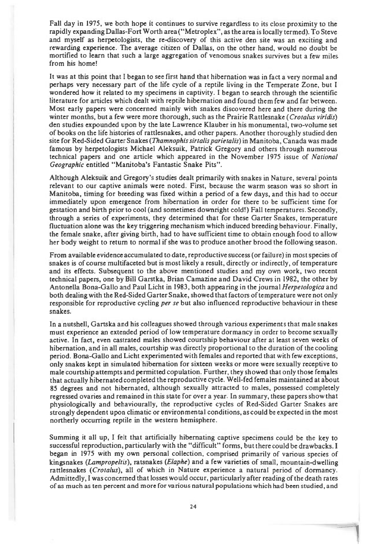Fall day in 1975, we both hope it continues to survive regardless to its close proximity to the rapidly expanding Dallas-Fort Worth area ("Metroplex", as the area is locally termed). To Steve and myself as herpetologists, the re-discovery of this active den site was an exciting and rewarding experience. The average citizen of Dallas, on the other hand, would no doubt be mortified to learn that such a large aggregation of venomous snakes survives but a few miles from his home!

It was at this point that I began to see first hand that hibernation was in fact a very normal and perhaps very necessary part of the life cycle of a reptile living in the Temperate Zone, but I wondered how it related to my specimens in captivity. I began to search through the scientific literature for articles which dealt with reptile hibernation and found them few and far between. Most early papers were concerned mainly with snakes discovered here and there during the winter months, but a few were more thorough, such as the Prairie Rattlesnake *(Crotalus viridis)*  den studies expounded upon by the late Lawrence Klauber in his monumental, two-volume set of books on the life histories of rattlesnakes, and other papers. Another thoroughly studied den site for Red-Sided Garter Snakes *(Thamnophis sirtalis parietalis)* in Manitoba, Canada was made famous by herpetologists Michael Aleksuik, Patrick Gregory and others through numerous technical papers and one article which appeared in the November 1975 issue of *National Geographic* entitled "Manitoba's Fantastic Snake Pits".

Although Aleksuik and Gregory's studies dealt primarily with snakes in Nature, several points relevant to our captive animals were noted. First, because the warm season was so short in Manitoba, timing for breeding was fixed within a period of a few days, and this had to occur immediately upon emergence from hibernation in order for there to be sufficient time for gestation and birth prior to cool (and sometimes downright cold!) Fall temperatures. Secondly, through a series of experiments, they determined that for these Garter Snakes, temperature fluctuation alone was the key triggering mechanism which induced breeding behaviour. Finally, the female snake, after giving birth, had to have sufficient time to obtain enough food to allow her body weight to return to normal if she was to produce another brood the following season.

From available evidence accumulated to date, reproductive success (or failure) in most species of snakes is of course multifaceted but is most likely a result, directly or indirectly, of temperature and its effects. Subsequent to the above mentioned studies and my own work, two recent technical papers, one by Bill Garstka, Brian Camazine and David Crews in 1982, the other by Antonella Bona-Gallo and Paul Licht in 1983, both appearing in the journal *Herpetologica* and both dealing with the Red-Sided Garter Snake, showed that factors of temperature were not only responsible for reproductive cycling *per se* but also influenced reproductive behaviour in these snakes.

In a nutshell, Gartska and his colleagues showed through various experiments that male snakes must experience an extended period of low temperature dormancy in order to become sexually active. In fact, *even* castrated males showed courtship behaviour after at least seven weeks of hibernation, and in all males, courtship was directly proportional to the duration of the cooling period. Bona-Gallo and Licht experimented with females and reported that with few exceptions, only snakes kept in simulated hibernation for sixteen weeks or more were sexually receptive to male courtship attempts and permitted copulation. Further, they showed that only those females that actually hibernated completed the reproductive cycle. Well-fed females maintained at about 85 degrees and not hibernated, although sexually attracted to males, possessed completely regressed ovaries and remained in this state for over a year In summary, these papers show that physiologically and behaviourally, the reproductive cycles of Red-Sided Garter Snakes are strongly dependent upon climatic or environmental conditions, as could be expected in the most northerly occurring reptile in the western hemisphere.

Summing it all up, I felt that artificially hibernating captive specimens could be the key to successful reproduction, particularly with the "difficult" forms, but there could be drawbacks. I began in 1975 with my own personal collection, comprised primarily of various species of kingsnakes *(Lampropeltis),* ratsnakes *(Elaphe)* and a few varieties of small, mountain-dwelling rattlesnakes *(Crotalus),* all of which in Nature experience a natural period of dormancy. Admittedly, I was concerned that losses would occur, particularly after reading of the death rates of as much as ten percent and more for various natural populations which had been studied, and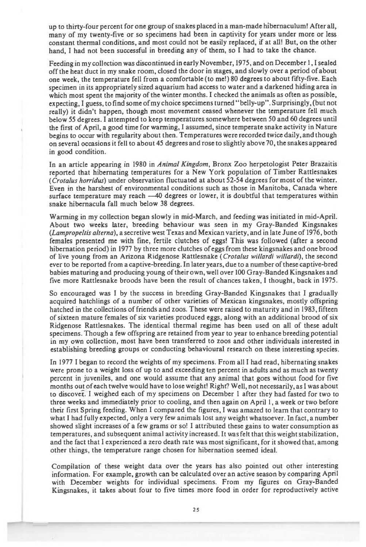up to thirty-four percent for one group of snakes placed in a man-made hibernaculum! After all, many of my twenty-five or so specimens had been in captivity for years under more or less constant thermal conditions, and most could not be easily replaced, if at all! But, on the other hand, I had not been successful in breeding any of them, so I had to take the chance.

Feeding in my collection was discontinued in early November, 1975, and on December 1, I sealed off the heat duct in my snake room, closed the door in stages, and slowly over a period of about one week, the temperature fell from a comfortable (to me!) 80 degrees to about fifty-five. Each specimen in its appropriately sized aquarium had access to water and a darkened hiding area in which most spent the majority of the winter months. I checked the animals as often as possible, expecting, I guess, to find some of my choice specimens turned "belly-up". Surprisingly, (but not really) it didn't happen, though most movement ceased whenever the temperature fell much below 55 degrees. I attempted to keep temperatures somewhere between 50 and 60 degrees until the first of April, a good time for warming, I assumed, since temperate snake activity in Nature begins to occur with regularity about then. Temperatures were recorded twice daily, and though on several occasions it fell to about 45 degrees and rose to slightly above 70, the snakes appeared in good condition.

In an article appearing in 1980 in *Animal Kingdom,* Bronx Zoo herpetologist Peter Brazaitis reported that hibernating temperatures for a New York population of Timber Rattlesnakes *(Crotalus horridus)* under observation fluctuated at about 52-54 degrees for most of the winter. Even in the harshest of environmental conditions such as those in Manitoba, Canada where surface temperature may reach —40 degrees or lower, it is doubtful that temperatures within snake hibernacula fall much below 38 degrees.

Warming in my collection began slowly in mid-March, and feeding was initiated in mid-April. About two weeks later, breeding behaviour was seen in my Gray-Banded Kingsnakes *(Lampropeltis alterna),* a secretive west Texas and Mexican variety, and in late June of 1976, both females presented me with fine, fertile clutches of eggs! This was followed (after a second hibernation period) in 1977 by three more clutches of eggs from these kingsnakes and one brood of live young from an Arizona Ridgenose Rattlesnake *(Crotalus willardi willardi),* the second ever to be reported from a captive-breeding. In later years, due to a number of these captive-bred babies maturing and producing young of their own, well over 100 Gray-Banded Kingsnakes and five more Rattlesnake broods have been the result of chances taken, I thought, back in 1975.

So encouraged was I by the success in breeding Gray-Banded Kingsnakes that I gradually acquired hatchlings of a number of other varieties of Mexican kingsnakes, mostly offspring hatched in the collections of friends and zoos. These were raised to maturity and in 1983, fifteen of sixteen mature females of six varieties produced eggs, along with an additional brood of six Ridgenose Rattlesnakes. The identical thermal regime has been used on all of these adult specimens. Though a few offspring are retained from year to year to enhance breeding potential in my own collection, most have been transferred to zoos and other individuals interested in establishing breeding groups or conducting behavioural research on these interesting species.

In 1977 I began to record the weights of my specimens. From all I had read, hibernating snakes were prone to a weight loss of up to and exceeding ten percent in adults and as much as twenty percent in juveniles, and one would assume that any animal that goes without food for five months out of each twelve would have to lose weight! Right? Well, not necessarily, as I was about to discovet. I weighed each of my specimens on December 1 after they had fasted for two to three weeks and immediately prior to cooling, and then again on April 1, a week or two before their first Spring feeding. When I compared the figures, I was amazed to learn that contrary to what I had fully expected, only a very few animals lost any weight whatsoever. In fact, a number showed slight increases of a few grams or so! I attributed these gains to water consumption as temperatures, and subsequent animal activity increased. It was felt that this weight stabilization, and the fact that I experienced a zero death rate was most significant, for it showed that, among other things, the temperature range chosen for hibernation seemed ideal.

Compilation of these weight data over the years has also pointed out other interesting information. For example, growth can be calculated over an active season by comparing April with December weights for individual specimens. From my figures on Gray-Banded Kingsnakes, it takes about four to five times more food in order for reproductively active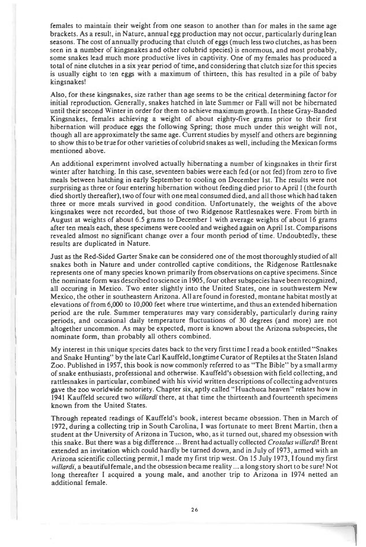females to maintain their weight from one season to another than for males in the same age brackets. As a result, in Nature, annual egg production may not occur, particularly during lean seasons. The cost of annually producing that clutch of eggs (much less two clutches, as has been seen in a number of kingsnakes and other colubrid species) is enormous, and most probably, some snakes lead much more productive lives in captivity. One of my females has produced a total of nine clutches in a six year period of time, and considering that clutch size for this species is usually eight to ten eggs with a maximum of thirteen, this has resulted in a pile of baby kingsnakes!

Also, for these kingsnakes, size rather than age seems to be the critical determining factor for initial reproduction. Generally, snakes hatched in late Summer or Fall will not be hibernated until their second Winter in order for them to achieve maximum growth. In these Gray-Banded Kingsnakes, females achieving a weight of about eighty-five grams prior to their first hibernation will produce eggs the following Spring; those much under this weight will not, though all are approximately the same age. Current studies by myself and others are beginning to show this to be true for other varieties of colubrid snakes as well, including the Mexican forms mentioned above.

An additional experiment involved actually hibernating a number of kingsnakes in their first winter after hatching. In this case, seventeen babies were each fed (or not fed) from zero to five meals between hatching in early September to cooling on December 1st. The results were not surprising as three or four entering hibernation without feeding died prior to April 1 (the fourth died shortly thereafter), two of four with one meal consumed died, and all those which had taken three or more meals survived in good condition. Unfortunately, the weights of the above kingsnakes were not recorded, but those of two Ridgenose Rattlesnakes were. From birth in August at weights of about 6.5 grams to December 1 with average weights of about 16 grams after ten meals each, these specimens were cooled and weighed again on April 1st. Comparisons revealed almost no significant change over a four month period of time. Undoubtedly, these results are duplicated in Nature.

Just as the Red-Sided Garter Snake can be considered one of the most thoroughly studied of all snakes both in Nature and under controlled captive conditions, the Ridgenose Rattlesnake represents one of many species known primarily from observations on captive specimens. Since the nominate form was described to science in 1905, four other subspecies have been recognized, all occuring in Mexico. Two enter slightly into the United States, one in southwestern New Mexico, the other in southeastern Arizona. All are found in forested, montane habitat mostly at elevations of from 6,000 to 10,000 feet where true wintertime, and thus an extended hibernation period are the rule. Summer temperatures may vary considerably, particularly during rainy periods, and occasional daily temperature fluctuations of 30 degrees (and more) are not altogether uncommon. As may be expected, more is known about the Arizona subspecies, the nominate form, than probably all others combined.

My interest in this unique species dates back to the very first time I read a book entitled "Snakes and Snake Hunting" by the late Carl Kauffeld, longtime Curator of Reptiles at the Staten Island Zoo. Published in 195T, this book is now commonly referred to as "The Bible" by a small army of snake enthusiasts, professional and otherwise. Kauffeld's obsession with field collecting, and rattlesnakes in particular, combined with his vivid written descriptions of collecting adventures gave the zoo worldwide notoriety. Chapter six, aptly called "Huachuca heaven" relates how in 1941 Kauffeld secured two *willardi* there, at that time the thirteenth and fourteenth specimens known from the United States.

Through repeated readings of Kauffeld's book, interest became obsession. Then in March of 1972, during a collecting trip in South Carolina, I was fortunate to meet Brent Martin, then a student at the University of Arizona in Tucson, who, as it turned out, shared my obsession with this snake. But there was a big difference ... Brent had actually collected *Crotalus willardi!* Brent extended an invitation which could hardly be turned down, and in July of 1973, armed with an Arizona scientific collecting permit, I made my first trip west. On 15 July 1973, I found my first *willardi,* a beautiful female, and the obsession became reality ... a long story short to be sure! Not long thereafter I acquired a young male, and another trip to Arizona in 1974 netted an additional female.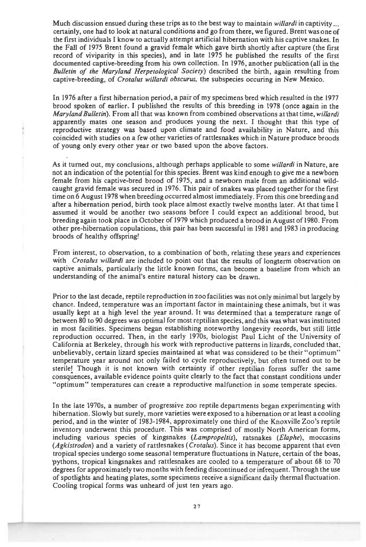Much discussion ensued during these trips as to the best way to maintain *willardi* in captivity ... certainly, one had to look at natural conditions and go from there, we figured. Brent was one of the first individuals I know to actually attempt artificial hibernation with his captive snakes. In the Fall of 1975 Brent found a gravid female which gave birth shortly after capture (the first record of viviparity in this species), and in late 1975 he published the results of the first documented captive-breeding from his own collection. In 1976, another publication (all in the *Bulletin of the Maryland Herpetological Society)* described the birth, again resulting from captive-breeding, of *Crotalus willardi obscurus,* the subspecies occuring in New Mexico.

In 1976 after a first hibernation period, a pair of my specimens bred which resulted in the 1977 brood spoken of earlier. I published the results of this breeding in 1978 (once again in the *Maryland Bulletin).* From all that was known from combined observations at that time, *willardi*  apparently mates one season and produces young the next. I thought that this type of reproductive strategy was based upon climate and food availability in Nature, and this coincided with studies on a few other varieties of rattlesnakes which in Nature produce broods of young only every other year or two based upon the above factors.

As it turned out, my conclusions, although perhaps applicable to some *willardi* in Nature, are not an indication of the potential for this species. **Brent** was kind enough to give me a newborn female from his captive-bred brood of 1975, and a newborn male from an additional wildcaught gravid female was secured in 1976. This pair of snakes was placed together for the first time on 6 August **1978 when** breeding occurred almost immediately. From this one breeding and after a **hibernation period, birth took place almost exactly twelve months later. At that time I assumed it would be another two seasons before** I could **expect an additional brood, but breeding again took place in October of 1979 which produced a brood in August of 1980. From other pre-hibernation copulations, this pair has been successful in 1981 and 1983 in producing broods of healthy offspring!** 

**From interest, to observation, to a combination of both, relating** these years and experiences with *Crotalus willardi* are included to point out that **the results of longterm observation on captive animals, particularly the little known forms, can become a baseline from which an understanding of the animal's entire natural history can be drawn.** 

**Prior to** the last decade, reptile reproduction in zoo facilities was not only minimal but largely by chance. Indeed, temperature was an important factor in maintaining these animals, but it was usually kept at a high level the year around. It was **determined that a temperature range of**  between 80 to 90 degrees was optimal for most reptilian species, and this was what was instituted **in most facilities. Specimens began establishing noteworthy longevity records, but still little reproduction occurred. Then, in the early 1970s, biologist Paul Licht of the University of California at Berkeley, through** his work with reproductive patterns in lizards, concluded that, unbelievably, certain lizard species maintained at what was considered to be their "optimum" temperature year around not only failed to cycle reproductively, but often turned out to be sterile! Though it is not known with certainty if other reptilian forms suffer the same consquences, available evidence points quite clearly to the fact that constant conditions under "optimum" temperatures can create a reproductive malfunction in some temperate species.

In the late 1970s, a number of progressive zoo reptile departments began experimenting with hibernation. Slowly but surely, more varieties were exposed to a hibernation or at least a cooling period, and in the winter of 1983-1984, approximately one third of the Knoxville Zoo's reptile inventory underwent this procedure. This was comprised of mostly North American forms, including various species of kingsnakes *(Lampropeltis),* ratsnakes *(Elaphe),* moccasins *(Agkistrodon)* and a variety of rattlesnakes *(Crotalus).* Since it has become apparent that even **tropical species undergo some seasonal temperature fluctuations in Nature, certain of the boas, pythons, tropical kingsnakes and rattlesnakes are cooled to a temperature of about 68 to** 70 degrees for approximately two months with feeding discontinued or infrequent. Through the use of spotlights and heating plates, some specimens receive a significant daily thermal fluctuation. Cooling tropical forms was unheard of just ten years ago.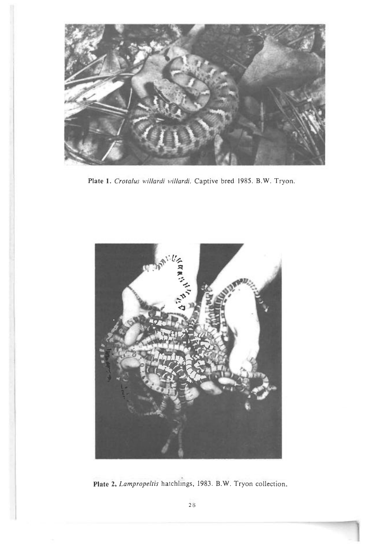

*Plate 1. Crotalus willardi willardi.* Captive bred 1985. B.W. Tryon.



Plate 2. *Lampropeltis* hatchlings, 1983. B.W. Tryon collection.